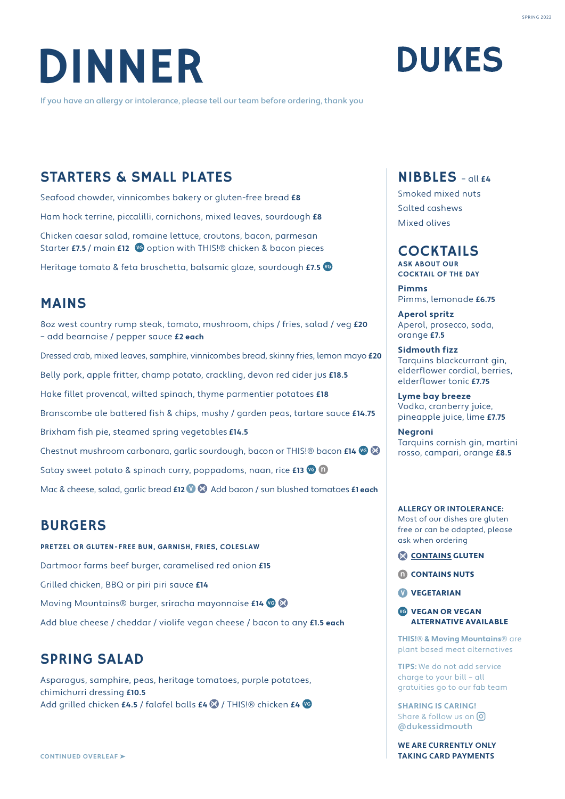

If you have an allergy or intolerance, please tell our team before ordering, thank you

## **DUKES**

## STARTERS & SMALL PLATES

Seafood chowder, vinnicombes bakery or gluten-free bread **£8** Ham hock terrine, piccalilli, cornichons, mixed leaves, sourdough **£8** Chicken caesar salad, romaine lettuce, croutons, bacon, parmesan

Starter **£7.5** / main **£12** <sup>o</sup> option with THIS!® chicken & bacon pieces

Heritage tomato & feta bruschetta, balsamic glaze, sourdough **£7.5**

## MAINS

8oz west country rump steak, tomato, mushroom, chips / fries, salad / veg **£20** – add bearnaise / pepper sauce **£2 each**

Dressed crab, mixed leaves, samphire, vinnicombes bread, skinny fries, lemon mayo **£20**

Belly pork, apple fritter, champ potato, crackling, devon red cider jus **£18.5**

Hake fillet provencal, wilted spinach, thyme parmentier potatoes **£18**

Branscombe ale battered fish & chips, mushy / garden peas, tartare sauce **£14.75**

Brixham fish pie, steamed spring vegetables **£14.5**

Chestnut mushroom carbonara, garlic sourdough, bacon or THIS!® bacon **£14**

Satay sweet potato & spinach curry, poppadoms, naan, rice **£13** <sup>co</sup> 0

Mac & cheese, salad, garlic bread **£12 <sup>0</sup> C** Add bacon / sun blushed tomatoes **£1 each** 

## BURGERS

PRETZEL OR GLUTEN-FREE BUN, GARNISH, FRIES, COLESLAW Dartmoor farms beef burger, caramelised red onion **£15** Grilled chicken, BBQ or piri piri sauce **£14** Moving Mountains® burger, sriracha mayonnaise **£14** Add blue cheese / cheddar / violife vegan cheese / bacon to any **£1.5 each**

## SPRING SALAD

Asparagus, samphire, peas, heritage tomatoes, purple potatoes, chimichurri dressing **£10.5** Add grilled chicken **£4.5** / falafel balls **£4** / THIS!® chicken **£4**

## NIBBLES – all **£4**

Smoked mixed nuts Salted cashews Mixed olives

### COCKTAILS

ASK ABOUT OUR COCKTAIL OF THE DAY

**Pimms** Pimms, lemonade **£6.75**

**Aperol spritz** Aperol, prosecco, soda, orange **£7.5**

**Sidmouth fizz** Tarquins blackcurrant gin, elderflower cordial, berries, elderflower tonic **£7.75**

**Lyme bay breeze** Vodka, cranberry juice, pineapple juice, lime **£7.75**

**Negroni** Tarquins cornish gin, martini rosso, campari, orange **£8.5**

#### **ALLERGY OR INTOLERANCE:**

Most of our dishes are gluten free or can be adapted, please ask when ordering

CONTAINS GLUTEN

**M** CONTAINS NUTS

**W** VEGETARIAN

**VEGAN OR VEGAN** ALTERNATIVE AVAILABLE

**THIS!® & Moving Mountains®** are plant based meat alternatives

**TIPS:** We do not add service charge to your bill – all gratuities go to our fab team

**SHARING IS CARING!**  Share & follow us on  $\boxed{0}$ @dukessidmouth

**WE ARE CURRENTLY ONLY TAKING CARD PAYMENTS**